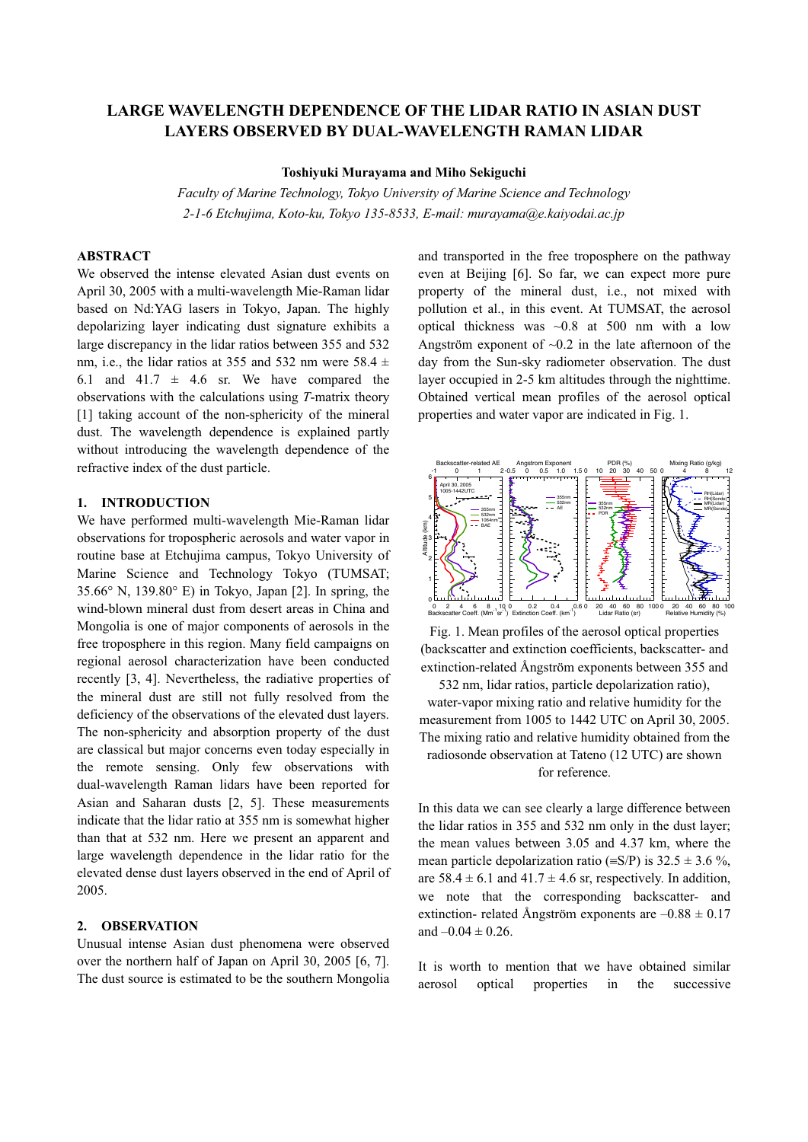# **LARGE WAVELENGTH DEPENDENCE OF THE LIDAR RATIO IN ASIAN DUST LAYERS OBSERVED BY DUAL-WAVELENGTH RAMAN LIDAR**

#### **Toshiyuki Murayama and Miho Sekiguchi**

*Faculty of Marine Technology, Tokyo University of Marine Science and Technology 2-1-6 Etchujima, Koto-ku, Tokyo 135-8533, E-mail: murayama@e.kaiyodai.ac.jp* 

#### **ABSTRACT**

We observed the intense elevated Asian dust events on April 30, 2005 with a multi-wavelength Mie-Raman lidar based on Nd:YAG lasers in Tokyo, Japan. The highly depolarizing layer indicating dust signature exhibits a large discrepancy in the lidar ratios between 355 and 532 nm, i.e., the lidar ratios at 355 and 532 nm were 58.4  $\pm$ 6.1 and 41.7  $\pm$  4.6 sr. We have compared the observations with the calculations using *T*-matrix theory [1] taking account of the non-sphericity of the mineral dust. The wavelength dependence is explained partly without introducing the wavelength dependence of the refractive index of the dust particle.

#### **1. INTRODUCTION**

We have performed multi-wavelength Mie-Raman lidar observations for tropospheric aerosols and water vapor in routine base at Etchujima campus, Tokyo University of Marine Science and Technology Tokyo (TUMSAT; 35.66° N, 139.80° E) in Tokyo, Japan [2]. In spring, the wind-blown mineral dust from desert areas in China and Mongolia is one of major components of aerosols in the free troposphere in this region. Many field campaigns on regional aerosol characterization have been conducted recently [3, 4]. Nevertheless, the radiative properties of the mineral dust are still not fully resolved from the deficiency of the observations of the elevated dust layers. The non-sphericity and absorption property of the dust are classical but major concerns even today especially in the remote sensing. Only few observations with dual-wavelength Raman lidars have been reported for Asian and Saharan dusts [2, 5]. These measurements indicate that the lidar ratio at 355 nm is somewhat higher than that at 532 nm. Here we present an apparent and large wavelength dependence in the lidar ratio for the elevated dense dust layers observed in the end of April of 2005.

### **2. OBSERVATION**

Unusual intense Asian dust phenomena were observed over the northern half of Japan on April 30, 2005 [6, 7]. The dust source is estimated to be the southern Mongolia and transported in the free troposphere on the pathway even at Beijing [6]. So far, we can expect more pure property of the mineral dust, i.e., not mixed with pollution et al., in this event. At TUMSAT, the aerosol optical thickness was  $\sim 0.8$  at 500 nm with a low Angström exponent of  $\sim 0.2$  in the late afternoon of the day from the Sun-sky radiometer observation. The dust layer occupied in 2-5 km altitudes through the nighttime. Obtained vertical mean profiles of the aerosol optical properties and water vapor are indicated in Fig. 1.



Fig. 1. Mean profiles of the aerosol optical properties (backscatter and extinction coefficients, backscatter- and extinction-related Ångström exponents between 355 and 532 nm, lidar ratios, particle depolarization ratio), water-vapor mixing ratio and relative humidity for the measurement from 1005 to 1442 UTC on April 30, 2005.

The mixing ratio and relative humidity obtained from the radiosonde observation at Tateno (12 UTC) are shown for reference.

In this data we can see clearly a large difference between the lidar ratios in 355 and 532 nm only in the dust layer; the mean values between 3.05 and 4.37 km, where the mean particle depolarization ratio ( $\equiv S/P$ ) is 32.5  $\pm$  3.6 %, are  $58.4 \pm 6.1$  and  $41.7 \pm 4.6$  sr, respectively. In addition, we note that the corresponding backscatter- and extinction- related Ångström exponents are  $-0.88 \pm 0.17$ and  $-0.04 \pm 0.26$ .

It is worth to mention that we have obtained similar aerosol optical properties in the successive